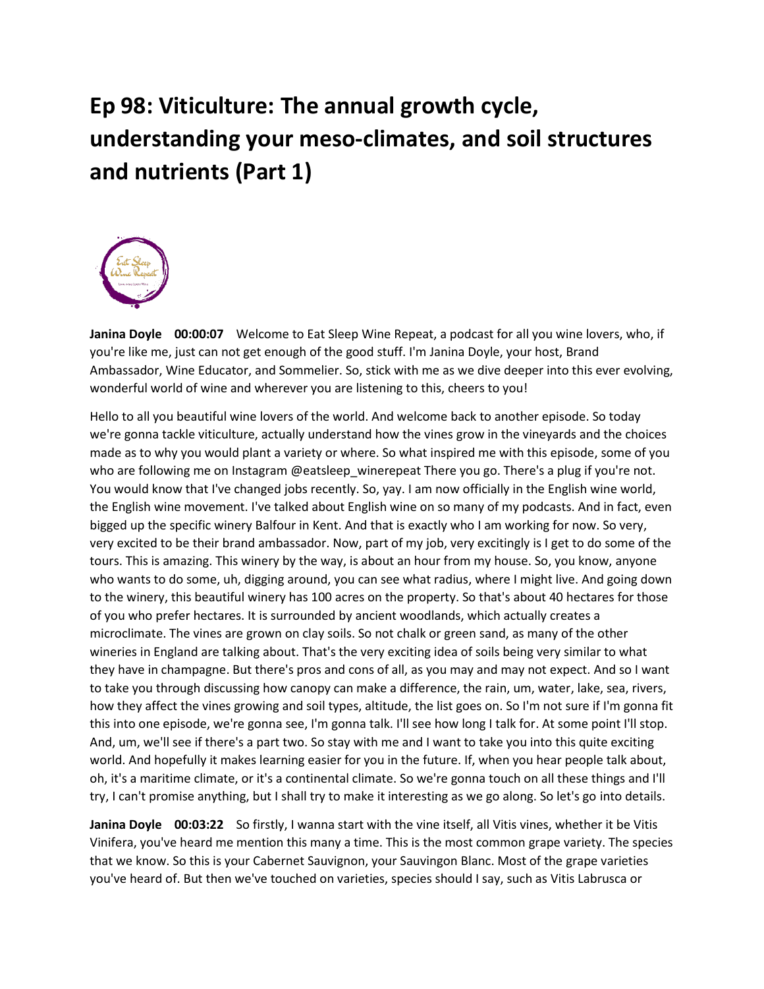## **Ep 98: Viticulture: The annual growth cycle, understanding your meso-climates, and soil structures and nutrients (Part 1)**



**Janina Doyle 00:00:07** Welcome to Eat Sleep Wine Repeat, a podcast for all you wine lovers, who, if you're like me, just can not get enough of the good stuff. I'm Janina Doyle, your host, Brand Ambassador, Wine Educator, and Sommelier. So, stick with me as we dive deeper into this ever evolving, wonderful world of wine and wherever you are listening to this, cheers to you!

Hello to all you beautiful wine lovers of the world. And welcome back to another episode. So today we're gonna tackle viticulture, actually understand how the vines grow in the vineyards and the choices made as to why you would plant a variety or where. So what inspired me with this episode, some of you who are following me on Instagram @eatsleep\_winerepeat There you go. There's a plug if you're not. You would know that I've changed jobs recently. So, yay. I am now officially in the English wine world, the English wine movement. I've talked about English wine on so many of my podcasts. And in fact, even bigged up the specific winery Balfour in Kent. And that is exactly who I am working for now. So very, very excited to be their brand ambassador. Now, part of my job, very excitingly is I get to do some of the tours. This is amazing. This winery by the way, is about an hour from my house. So, you know, anyone who wants to do some, uh, digging around, you can see what radius, where I might live. And going down to the winery, this beautiful winery has 100 acres on the property. So that's about 40 hectares for those of you who prefer hectares. It is surrounded by ancient woodlands, which actually creates a microclimate. The vines are grown on clay soils. So not chalk or green sand, as many of the other wineries in England are talking about. That's the very exciting idea of soils being very similar to what they have in champagne. But there's pros and cons of all, as you may and may not expect. And so I want to take you through discussing how canopy can make a difference, the rain, um, water, lake, sea, rivers, how they affect the vines growing and soil types, altitude, the list goes on. So I'm not sure if I'm gonna fit this into one episode, we're gonna see, I'm gonna talk. I'll see how long I talk for. At some point I'll stop. And, um, we'll see if there's a part two. So stay with me and I want to take you into this quite exciting world. And hopefully it makes learning easier for you in the future. If, when you hear people talk about, oh, it's a maritime climate, or it's a continental climate. So we're gonna touch on all these things and I'll try, I can't promise anything, but I shall try to make it interesting as we go along. So let's go into details.

**Janina Doyle 00:03:22** So firstly, I wanna start with the vine itself, all Vitis vines, whether it be Vitis Vinifera, you've heard me mention this many a time. This is the most common grape variety. The species that we know. So this is your Cabernet Sauvignon, your Sauvingon Blanc. Most of the grape varieties you've heard of. But then we've touched on varieties, species should I say, such as Vitis Labrusca or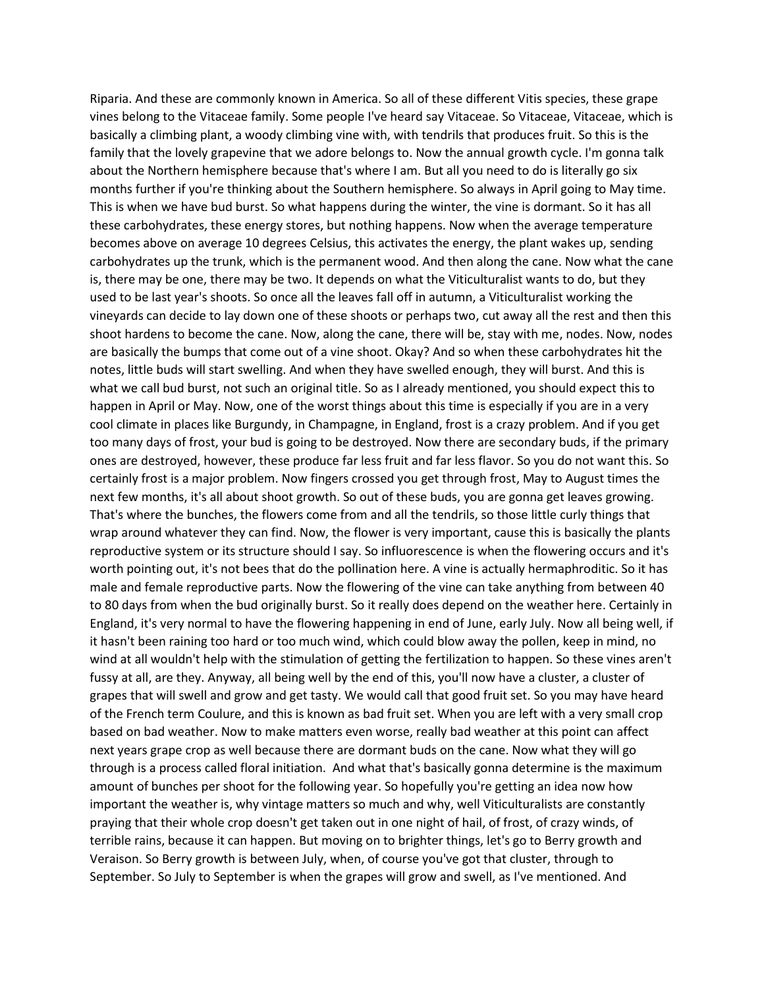Riparia. And these are commonly known in America. So all of these different Vitis species, these grape vines belong to the Vitaceae family. Some people I've heard say Vitaceae. So Vitaceae, Vitaceae, which is basically a climbing plant, a woody climbing vine with, with tendrils that produces fruit. So this is the family that the lovely grapevine that we adore belongs to. Now the annual growth cycle. I'm gonna talk about the Northern hemisphere because that's where I am. But all you need to do is literally go six months further if you're thinking about the Southern hemisphere. So always in April going to May time. This is when we have bud burst. So what happens during the winter, the vine is dormant. So it has all these carbohydrates, these energy stores, but nothing happens. Now when the average temperature becomes above on average 10 degrees Celsius, this activates the energy, the plant wakes up, sending carbohydrates up the trunk, which is the permanent wood. And then along the cane. Now what the cane is, there may be one, there may be two. It depends on what the Viticulturalist wants to do, but they used to be last year's shoots. So once all the leaves fall off in autumn, a Viticulturalist working the vineyards can decide to lay down one of these shoots or perhaps two, cut away all the rest and then this shoot hardens to become the cane. Now, along the cane, there will be, stay with me, nodes. Now, nodes are basically the bumps that come out of a vine shoot. Okay? And so when these carbohydrates hit the notes, little buds will start swelling. And when they have swelled enough, they will burst. And this is what we call bud burst, not such an original title. So as I already mentioned, you should expect this to happen in April or May. Now, one of the worst things about this time is especially if you are in a very cool climate in places like Burgundy, in Champagne, in England, frost is a crazy problem. And if you get too many days of frost, your bud is going to be destroyed. Now there are secondary buds, if the primary ones are destroyed, however, these produce far less fruit and far less flavor. So you do not want this. So certainly frost is a major problem. Now fingers crossed you get through frost, May to August times the next few months, it's all about shoot growth. So out of these buds, you are gonna get leaves growing. That's where the bunches, the flowers come from and all the tendrils, so those little curly things that wrap around whatever they can find. Now, the flower is very important, cause this is basically the plants reproductive system or its structure should I say. So influorescence is when the flowering occurs and it's worth pointing out, it's not bees that do the pollination here. A vine is actually hermaphroditic. So it has male and female reproductive parts. Now the flowering of the vine can take anything from between 40 to 80 days from when the bud originally burst. So it really does depend on the weather here. Certainly in England, it's very normal to have the flowering happening in end of June, early July. Now all being well, if it hasn't been raining too hard or too much wind, which could blow away the pollen, keep in mind, no wind at all wouldn't help with the stimulation of getting the fertilization to happen. So these vines aren't fussy at all, are they. Anyway, all being well by the end of this, you'll now have a cluster, a cluster of grapes that will swell and grow and get tasty. We would call that good fruit set. So you may have heard of the French term Coulure, and this is known as bad fruit set. When you are left with a very small crop based on bad weather. Now to make matters even worse, really bad weather at this point can affect next years grape crop as well because there are dormant buds on the cane. Now what they will go through is a process called floral initiation. And what that's basically gonna determine is the maximum amount of bunches per shoot for the following year. So hopefully you're getting an idea now how important the weather is, why vintage matters so much and why, well Viticulturalists are constantly praying that their whole crop doesn't get taken out in one night of hail, of frost, of crazy winds, of terrible rains, because it can happen. But moving on to brighter things, let's go to Berry growth and Veraison. So Berry growth is between July, when, of course you've got that cluster, through to September. So July to September is when the grapes will grow and swell, as I've mentioned. And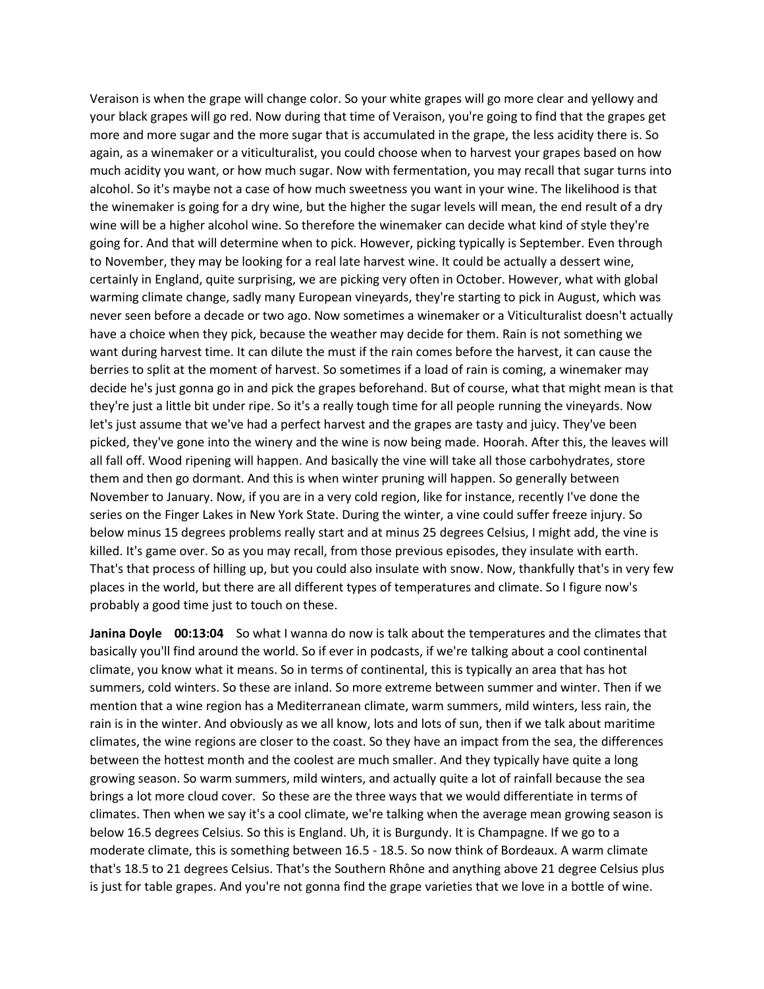Veraison is when the grape will change color. So your white grapes will go more clear and yellowy and your black grapes will go red. Now during that time of Veraison, you're going to find that the grapes get more and more sugar and the more sugar that is accumulated in the grape, the less acidity there is. So again, as a winemaker or a viticulturalist, you could choose when to harvest your grapes based on how much acidity you want, or how much sugar. Now with fermentation, you may recall that sugar turns into alcohol. So it's maybe not a case of how much sweetness you want in your wine. The likelihood is that the winemaker is going for a dry wine, but the higher the sugar levels will mean, the end result of a dry wine will be a higher alcohol wine. So therefore the winemaker can decide what kind of style they're going for. And that will determine when to pick. However, picking typically is September. Even through to November, they may be looking for a real late harvest wine. It could be actually a dessert wine, certainly in England, quite surprising, we are picking very often in October. However, what with global warming climate change, sadly many European vineyards, they're starting to pick in August, which was never seen before a decade or two ago. Now sometimes a winemaker or a Viticulturalist doesn't actually have a choice when they pick, because the weather may decide for them. Rain is not something we want during harvest time. It can dilute the must if the rain comes before the harvest, it can cause the berries to split at the moment of harvest. So sometimes if a load of rain is coming, a winemaker may decide he's just gonna go in and pick the grapes beforehand. But of course, what that might mean is that they're just a little bit under ripe. So it's a really tough time for all people running the vineyards. Now let's just assume that we've had a perfect harvest and the grapes are tasty and juicy. They've been picked, they've gone into the winery and the wine is now being made. Hoorah. After this, the leaves will all fall off. Wood ripening will happen. And basically the vine will take all those carbohydrates, store them and then go dormant. And this is when winter pruning will happen. So generally between November to January. Now, if you are in a very cold region, like for instance, recently I've done the series on the Finger Lakes in New York State. During the winter, a vine could suffer freeze injury. So below minus 15 degrees problems really start and at minus 25 degrees Celsius, I might add, the vine is killed. It's game over. So as you may recall, from those previous episodes, they insulate with earth. That's that process of hilling up, but you could also insulate with snow. Now, thankfully that's in very few places in the world, but there are all different types of temperatures and climate. So I figure now's probably a good time just to touch on these.

**Janina Doyle 00:13:04** So what I wanna do now is talk about the temperatures and the climates that basically you'll find around the world. So if ever in podcasts, if we're talking about a cool continental climate, you know what it means. So in terms of continental, this is typically an area that has hot summers, cold winters. So these are inland. So more extreme between summer and winter. Then if we mention that a wine region has a Mediterranean climate, warm summers, mild winters, less rain, the rain is in the winter. And obviously as we all know, lots and lots of sun, then if we talk about maritime climates, the wine regions are closer to the coast. So they have an impact from the sea, the differences between the hottest month and the coolest are much smaller. And they typically have quite a long growing season. So warm summers, mild winters, and actually quite a lot of rainfall because the sea brings a lot more cloud cover. So these are the three ways that we would differentiate in terms of climates. Then when we say it's a cool climate, we're talking when the average mean growing season is below 16.5 degrees Celsius. So this is England. Uh, it is Burgundy. It is Champagne. If we go to a moderate climate, this is something between 16.5 - 18.5. So now think of Bordeaux. A warm climate that's 18.5 to 21 degrees Celsius. That's the Southern Rhône and anything above 21 degree Celsius plus is just for table grapes. And you're not gonna find the grape varieties that we love in a bottle of wine.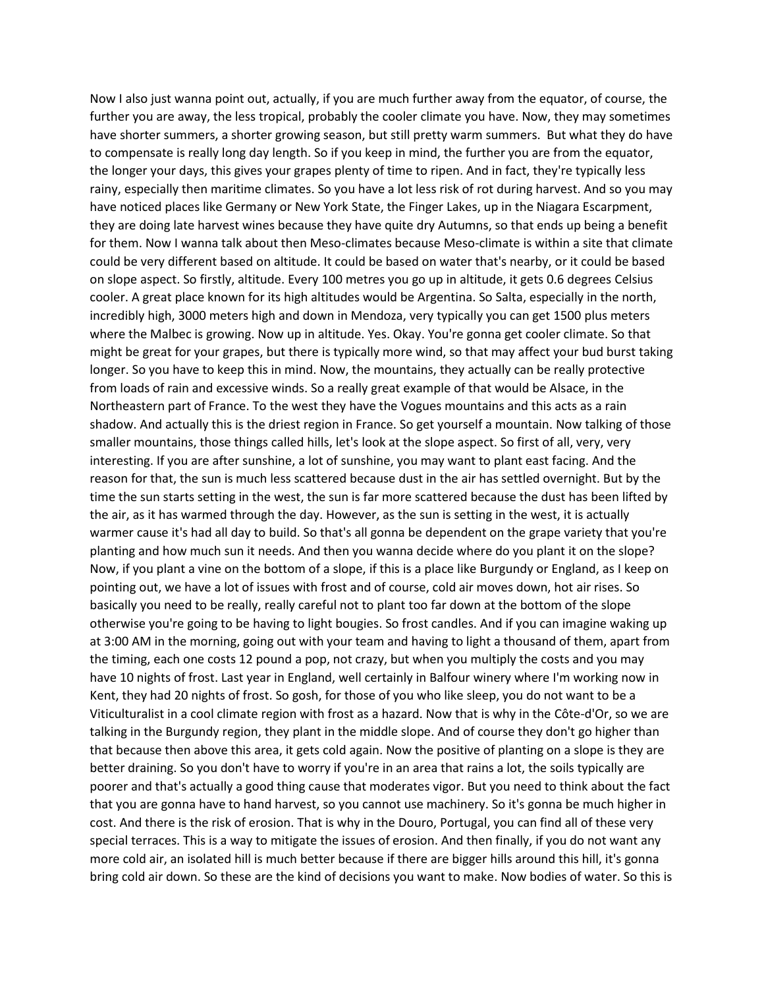Now I also just wanna point out, actually, if you are much further away from the equator, of course, the further you are away, the less tropical, probably the cooler climate you have. Now, they may sometimes have shorter summers, a shorter growing season, but still pretty warm summers. But what they do have to compensate is really long day length. So if you keep in mind, the further you are from the equator, the longer your days, this gives your grapes plenty of time to ripen. And in fact, they're typically less rainy, especially then maritime climates. So you have a lot less risk of rot during harvest. And so you may have noticed places like Germany or New York State, the Finger Lakes, up in the Niagara Escarpment, they are doing late harvest wines because they have quite dry Autumns, so that ends up being a benefit for them. Now I wanna talk about then Meso-climates because Meso-climate is within a site that climate could be very different based on altitude. It could be based on water that's nearby, or it could be based on slope aspect. So firstly, altitude. Every 100 metres you go up in altitude, it gets 0.6 degrees Celsius cooler. A great place known for its high altitudes would be Argentina. So Salta, especially in the north, incredibly high, 3000 meters high and down in Mendoza, very typically you can get 1500 plus meters where the Malbec is growing. Now up in altitude. Yes. Okay. You're gonna get cooler climate. So that might be great for your grapes, but there is typically more wind, so that may affect your bud burst taking longer. So you have to keep this in mind. Now, the mountains, they actually can be really protective from loads of rain and excessive winds. So a really great example of that would be Alsace, in the Northeastern part of France. To the west they have the Vogues mountains and this acts as a rain shadow. And actually this is the driest region in France. So get yourself a mountain. Now talking of those smaller mountains, those things called hills, let's look at the slope aspect. So first of all, very, very interesting. If you are after sunshine, a lot of sunshine, you may want to plant east facing. And the reason for that, the sun is much less scattered because dust in the air has settled overnight. But by the time the sun starts setting in the west, the sun is far more scattered because the dust has been lifted by the air, as it has warmed through the day. However, as the sun is setting in the west, it is actually warmer cause it's had all day to build. So that's all gonna be dependent on the grape variety that you're planting and how much sun it needs. And then you wanna decide where do you plant it on the slope? Now, if you plant a vine on the bottom of a slope, if this is a place like Burgundy or England, as I keep on pointing out, we have a lot of issues with frost and of course, cold air moves down, hot air rises. So basically you need to be really, really careful not to plant too far down at the bottom of the slope otherwise you're going to be having to light bougies. So frost candles. And if you can imagine waking up at 3:00 AM in the morning, going out with your team and having to light a thousand of them, apart from the timing, each one costs 12 pound a pop, not crazy, but when you multiply the costs and you may have 10 nights of frost. Last year in England, well certainly in Balfour winery where I'm working now in Kent, they had 20 nights of frost. So gosh, for those of you who like sleep, you do not want to be a Viticulturalist in a cool climate region with frost as a hazard. Now that is why in the Côte-d'Or, so we are talking in the Burgundy region, they plant in the middle slope. And of course they don't go higher than that because then above this area, it gets cold again. Now the positive of planting on a slope is they are better draining. So you don't have to worry if you're in an area that rains a lot, the soils typically are poorer and that's actually a good thing cause that moderates vigor. But you need to think about the fact that you are gonna have to hand harvest, so you cannot use machinery. So it's gonna be much higher in cost. And there is the risk of erosion. That is why in the Douro, Portugal, you can find all of these very special terraces. This is a way to mitigate the issues of erosion. And then finally, if you do not want any more cold air, an isolated hill is much better because if there are bigger hills around this hill, it's gonna bring cold air down. So these are the kind of decisions you want to make. Now bodies of water. So this is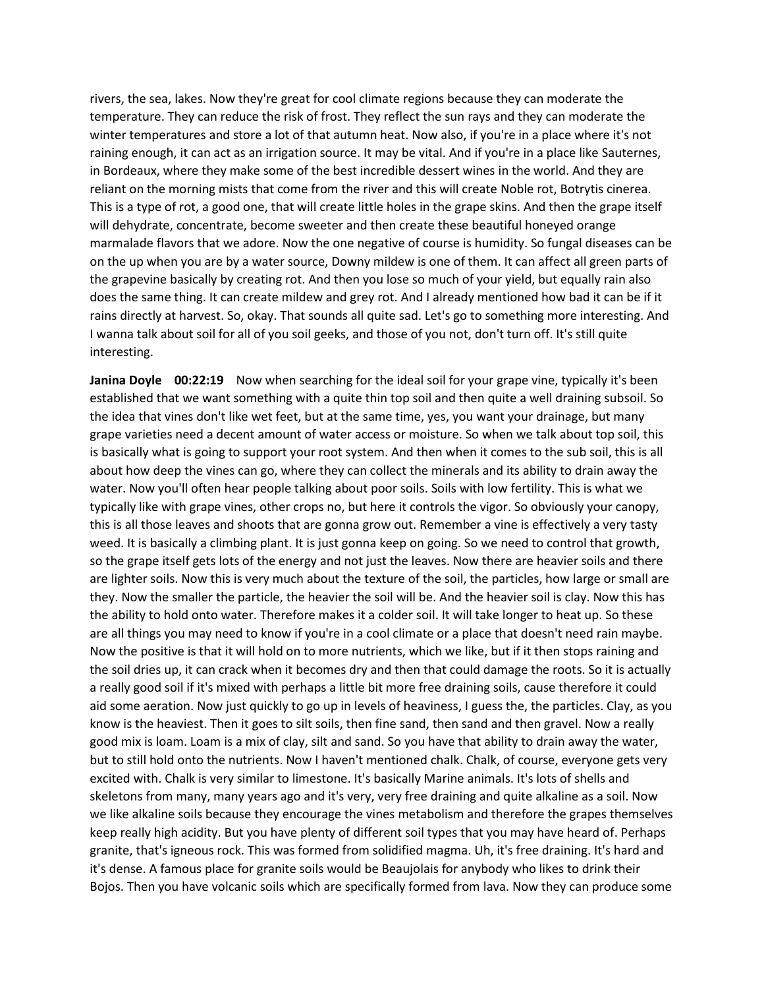rivers, the sea, lakes. Now they're great for cool climate regions because they can moderate the temperature. They can reduce the risk of frost. They reflect the sun rays and they can moderate the winter temperatures and store a lot of that autumn heat. Now also, if you're in a place where it's not raining enough, it can act as an irrigation source. It may be vital. And if you're in a place like Sauternes, in Bordeaux, where they make some of the best incredible dessert wines in the world. And they are reliant on the morning mists that come from the river and this will create Noble rot, Botrytis cinerea. This is a type of rot, a good one, that will create little holes in the grape skins. And then the grape itself will dehydrate, concentrate, become sweeter and then create these beautiful honeyed orange marmalade flavors that we adore. Now the one negative of course is humidity. So fungal diseases can be on the up when you are by a water source, Downy mildew is one of them. It can affect all green parts of the grapevine basically by creating rot. And then you lose so much of your yield, but equally rain also does the same thing. It can create mildew and grey rot. And I already mentioned how bad it can be if it rains directly at harvest. So, okay. That sounds all quite sad. Let's go to something more interesting. And I wanna talk about soil for all of you soil geeks, and those of you not, don't turn off. It's still quite interesting.

**Janina Doyle 00:22:19** Now when searching for the ideal soil for your grape vine, typically it's been established that we want something with a quite thin top soil and then quite a well draining subsoil. So the idea that vines don't like wet feet, but at the same time, yes, you want your drainage, but many grape varieties need a decent amount of water access or moisture. So when we talk about top soil, this is basically what is going to support your root system. And then when it comes to the sub soil, this is all about how deep the vines can go, where they can collect the minerals and its ability to drain away the water. Now you'll often hear people talking about poor soils. Soils with low fertility. This is what we typically like with grape vines, other crops no, but here it controls the vigor. So obviously your canopy, this is all those leaves and shoots that are gonna grow out. Remember a vine is effectively a very tasty weed. It is basically a climbing plant. It is just gonna keep on going. So we need to control that growth, so the grape itself gets lots of the energy and not just the leaves. Now there are heavier soils and there are lighter soils. Now this is very much about the texture of the soil, the particles, how large or small are they. Now the smaller the particle, the heavier the soil will be. And the heavier soil is clay. Now this has the ability to hold onto water. Therefore makes it a colder soil. It will take longer to heat up. So these are all things you may need to know if you're in a cool climate or a place that doesn't need rain maybe. Now the positive is that it will hold on to more nutrients, which we like, but if it then stops raining and the soil dries up, it can crack when it becomes dry and then that could damage the roots. So it is actually a really good soil if it's mixed with perhaps a little bit more free draining soils, cause therefore it could aid some aeration. Now just quickly to go up in levels of heaviness, I guess the, the particles. Clay, as you know is the heaviest. Then it goes to silt soils, then fine sand, then sand and then gravel. Now a really good mix is loam. Loam is a mix of clay, silt and sand. So you have that ability to drain away the water, but to still hold onto the nutrients. Now I haven't mentioned chalk. Chalk, of course, everyone gets very excited with. Chalk is very similar to limestone. It's basically Marine animals. It's lots of shells and skeletons from many, many years ago and it's very, very free draining and quite alkaline as a soil. Now we like alkaline soils because they encourage the vines metabolism and therefore the grapes themselves keep really high acidity. But you have plenty of different soil types that you may have heard of. Perhaps granite, that's igneous rock. This was formed from solidified magma. Uh, it's free draining. It's hard and it's dense. A famous place for granite soils would be Beaujolais for anybody who likes to drink their Bojos. Then you have volcanic soils which are specifically formed from lava. Now they can produce some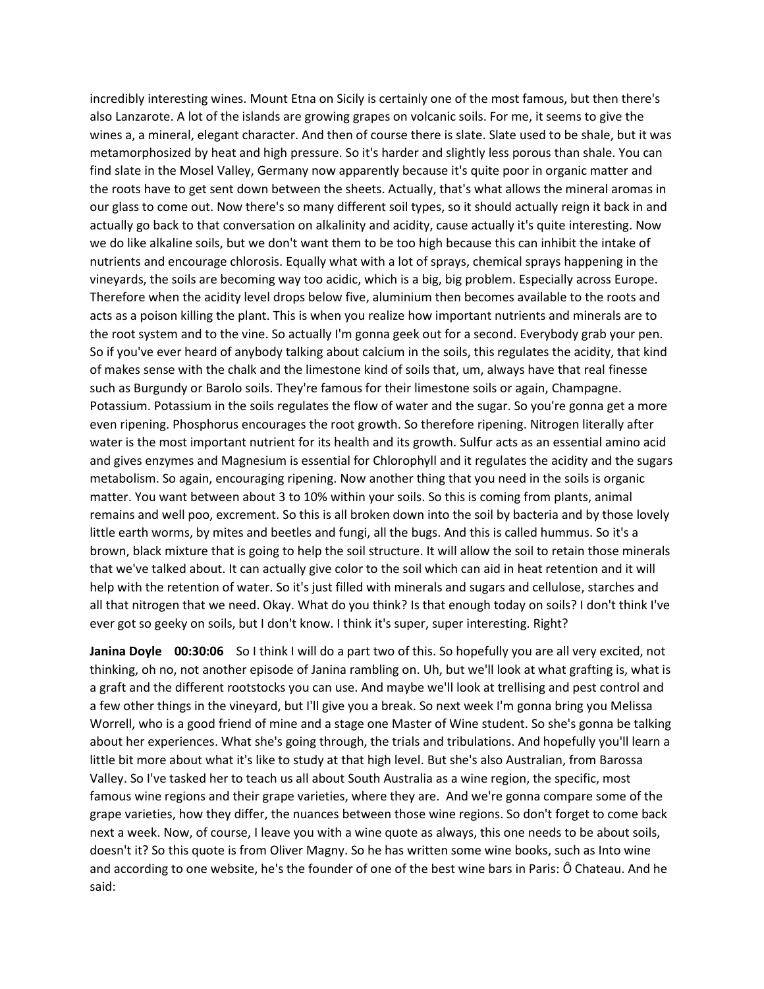incredibly interesting wines. Mount Etna on Sicily is certainly one of the most famous, but then there's also Lanzarote. A lot of the islands are growing grapes on volcanic soils. For me, it seems to give the wines a, a mineral, elegant character. And then of course there is slate. Slate used to be shale, but it was metamorphosized by heat and high pressure. So it's harder and slightly less porous than shale. You can find slate in the Mosel Valley, Germany now apparently because it's quite poor in organic matter and the roots have to get sent down between the sheets. Actually, that's what allows the mineral aromas in our glass to come out. Now there's so many different soil types, so it should actually reign it back in and actually go back to that conversation on alkalinity and acidity, cause actually it's quite interesting. Now we do like alkaline soils, but we don't want them to be too high because this can inhibit the intake of nutrients and encourage chlorosis. Equally what with a lot of sprays, chemical sprays happening in the vineyards, the soils are becoming way too acidic, which is a big, big problem. Especially across Europe. Therefore when the acidity level drops below five, aluminium then becomes available to the roots and acts as a poison killing the plant. This is when you realize how important nutrients and minerals are to the root system and to the vine. So actually I'm gonna geek out for a second. Everybody grab your pen. So if you've ever heard of anybody talking about calcium in the soils, this regulates the acidity, that kind of makes sense with the chalk and the limestone kind of soils that, um, always have that real finesse such as Burgundy or Barolo soils. They're famous for their limestone soils or again, Champagne. Potassium. Potassium in the soils regulates the flow of water and the sugar. So you're gonna get a more even ripening. Phosphorus encourages the root growth. So therefore ripening. Nitrogen literally after water is the most important nutrient for its health and its growth. Sulfur acts as an essential amino acid and gives enzymes and Magnesium is essential for Chlorophyll and it regulates the acidity and the sugars metabolism. So again, encouraging ripening. Now another thing that you need in the soils is organic matter. You want between about 3 to 10% within your soils. So this is coming from plants, animal remains and well poo, excrement. So this is all broken down into the soil by bacteria and by those lovely little earth worms, by mites and beetles and fungi, all the bugs. And this is called hummus. So it's a brown, black mixture that is going to help the soil structure. It will allow the soil to retain those minerals that we've talked about. It can actually give color to the soil which can aid in heat retention and it will help with the retention of water. So it's just filled with minerals and sugars and cellulose, starches and all that nitrogen that we need. Okay. What do you think? Is that enough today on soils? I don't think I've ever got so geeky on soils, but I don't know. I think it's super, super interesting. Right?

**Janina Doyle 00:30:06** So I think I will do a part two of this. So hopefully you are all very excited, not thinking, oh no, not another episode of Janina rambling on. Uh, but we'll look at what grafting is, what is a graft and the different rootstocks you can use. And maybe we'll look at trellising and pest control and a few other things in the vineyard, but I'll give you a break. So next week I'm gonna bring you Melissa Worrell, who is a good friend of mine and a stage one Master of Wine student. So she's gonna be talking about her experiences. What she's going through, the trials and tribulations. And hopefully you'll learn a little bit more about what it's like to study at that high level. But she's also Australian, from Barossa Valley. So I've tasked her to teach us all about South Australia as a wine region, the specific, most famous wine regions and their grape varieties, where they are. And we're gonna compare some of the grape varieties, how they differ, the nuances between those wine regions. So don't forget to come back next a week. Now, of course, I leave you with a wine quote as always, this one needs to be about soils, doesn't it? So this quote is from Oliver Magny. So he has written some wine books, such as Into wine and according to one website, he's the founder of one of the best wine bars in Paris: Ô Chateau. And he said: